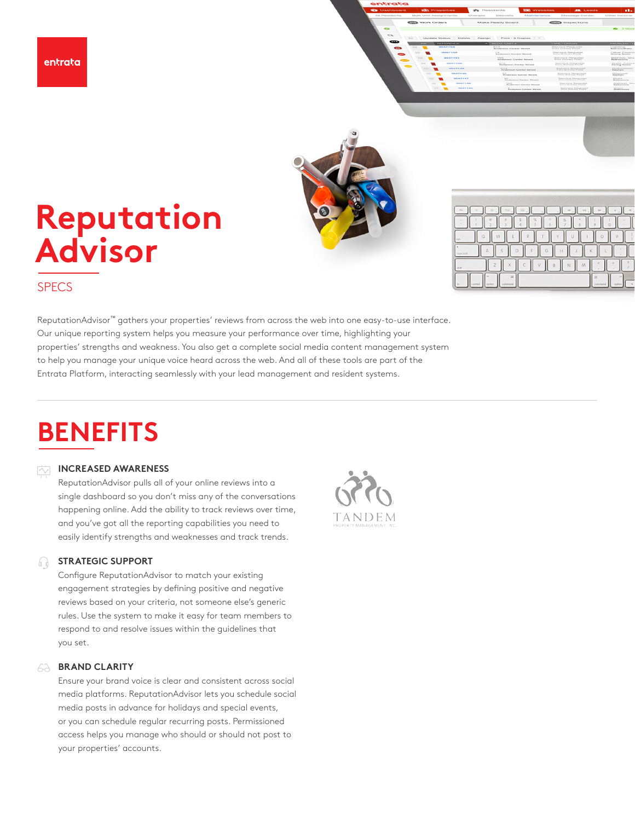

## **Reputation Advis**o**r**

| $\frac{408}{400}$<br>esc<br>딩이              |
|---------------------------------------------|
| %<br>Ŕ                                      |
| R<br>P<br>W<br>tob                          |
| G<br>с<br>FA.<br>caps lock                  |
| B<br>shift                                  |
| 36<br>3£<br><b>o</b> b<br>command<br>sotice |

## **SPECS**

ReputationAdvisor™ gathers your properties' reviews from across the web into one easy-to-use interface. Our unique reporting system helps you measure your performance over time, highlighting your properties' strengths and weakness. You also get a complete social media content management system to help you manage your unique voice heard across the web. And all of these tools are part of the Entrata Platform, interacting seamlessly with your lead management and resident systems.

## **BENEFITS**

#### **INCREASED AWARENESS**   $\overline{\sim}$

ReputationAdvisor pulls all of your online reviews into a single dashboard so you don't miss any of the conversations happening online. Add the ability to track reviews over time, and you've got all the reporting capabilities you need to easily identify strengths and weaknesses and track trends.

#### **STRATEGIC SUPPORT**  ⋒.

Configure ReputationAdvisor to match your existing engagement strategies by defining positive and negative reviews based on your criteria, not someone else's generic rules. Use the system to make it easy for team members to respond to and resolve issues within the guidelines that you set.

#### **BRAND CLARITY**  62

Ensure your brand voice is clear and consistent across social media platforms. ReputationAdvisor lets you schedule social media posts in advance for holidays and special events, or you can schedule regular recurring posts. Permissioned access helps you manage who should or should not post to your properties' accounts.